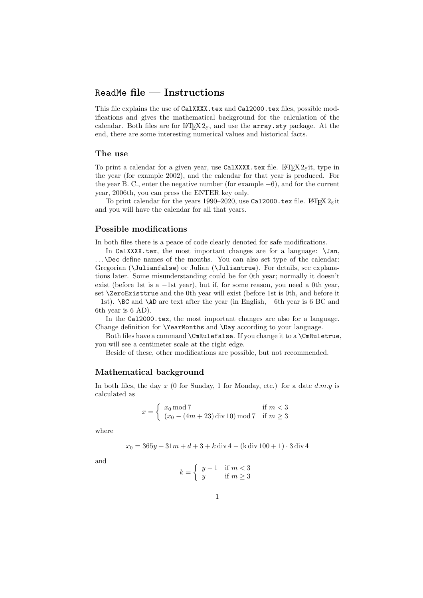# ReadMe **file — Instructions**

This file explains the use of CalXXXX.tex and Cal2000.tex files, possible modifications and gives the mathematical background for the calculation of the calendar. Both files are for LATEX  $2\varepsilon$ , and use the **array**.sty package. At the end, there are some interesting numerical values and historical facts.

#### **The use**

To print a calendar for a given year, use CalXXXX.tex file. LATEX  $2\varepsilon$ it, type in the year (for example 2002), and the calendar for that year is produced. For the year B. C., enter the negative number (for example −6), and for the current year, 2006th, you can press the ENTER key only.

To print calendar for the years 1990–2020, use Cal2000.tex file. LATEX  $2\epsilon$ it and you will have the calendar for all that years.

# **Possible modifications**

In both files there is a peace of code clearly denoted for safe modifications.

In CalXXXX.tex, the most important changes are for a language: \Jan, ... \Dec define names of the months. You can also set type of the calendar: Gregorian (\Julianfalse) or Julian (\Juliantrue). For details, see explanations later. Some misunderstanding could be for 0th year; normally it doesn't exist (before 1st is a  $-1$ st year), but if, for some reason, you need a 0th year. set \ZeroExisttrue and the 0th year will exist (before 1st is 0th, and before it −1st). \BC and \AD are text after the year (in English, −6th year is 6 BC and 6th year is 6 AD).

In the Cal2000.tex, the most important changes are also for a language. Change definition for \YearMonths and \Day according to your language.

Both files have a command \CmRulefalse. If you change it to a \CmRuletrue, you will see a centimeter scale at the right edge.

Beside of these, other modifications are possible, but not recommended.

#### **Mathematical background**

In both files, the day  $x$  (0 for Sunday, 1 for Monday, etc.) for a date  $d.m.y$  is calculated as

$$
x = \begin{cases} x_0 \bmod 7 & \text{if } m < 3\\ (x_0 - (4m + 23) \text{ div } 10) \bmod 7 & \text{if } m \ge 3 \end{cases}
$$

where

$$
x_0 = 365y + 31m + d + 3 + k \operatorname{div} 4 - (k \operatorname{div} 100 + 1) \cdot 3 \operatorname{div} 4
$$

and

$$
k = \left\{ \begin{array}{ll} y - 1 & \text{if } m < 3 \\ y & \text{if } m \ge 3 \end{array} \right.
$$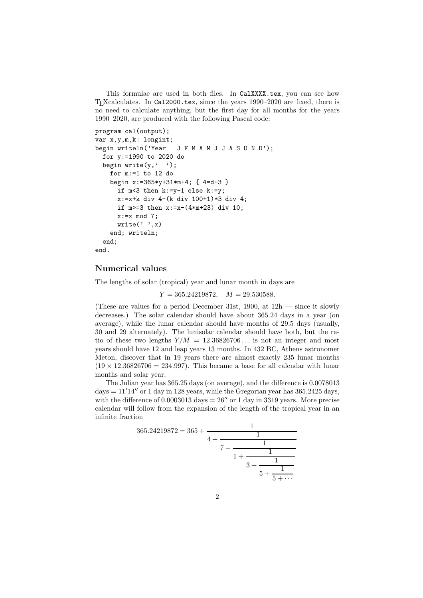This formulae are used in both files. In CalXXXX.tex, you can see how TEXcalculates. In Cal2000.tex, since the years 1990–2020 are fixed, there is no need to calculate anything, but the first day for all months for the years 1990–2020, are produced with the following Pascal code:

```
program cal(output);
var x,y,m,k: longint;
begin writeln('Year JFMAMJJASON D');
  for y:=1990 to 2020 do
  begin write(y, ' '');
    for m:=1 to 12 do
    begin x:=365*y+31*m+4; { 4=d+3 }
      if m < 3 then k:=y-1 else k:=y;
      x:=x+k div 4-(k div 100+1)*3 div 4;
      if m>=3 then x:=x-(4*m+23) div 10;
      x:=x \mod 7;write(' ' , x)end; writeln;
  end;
end.
```
## **Numerical values**

The lengths of solar (tropical) year and lunar month in days are

 $Y = 365.24219872, \quad M = 29.530588.$ 

(These are values for a period December 31st,  $1900$ , at  $12h$  — since it slowly decreases.) The solar calendar should have about 365.24 days in a year (on average), while the lunar calendar should have months of 29.5 days (usually, 30 and 29 alternately). The lunisolar calendar should have both, but the ratio of these two lengths  $Y/M = 12.36826706...$  is not an integer and most years should have 12 and leap years 13 months. In 432 BC, Athens astronomer Meton, discover that in 19 years there are almost exactly 235 lunar months  $(19 \times 12.36826706 = 234.997)$ . This became a base for all calendar with lunar months and solar year.

The Julian year has 365.25 days (on average), and the difference is 0.0078013  $\text{days} = 11'14''$  or 1 day in 128 years, while the Gregorian year has  $365.2425$  days, with the difference of  $0.0003013$  days =  $26''$  or 1 day in 3319 years. More precise calendar will follow from the expansion of the length of the tropical year in an infinite fraction

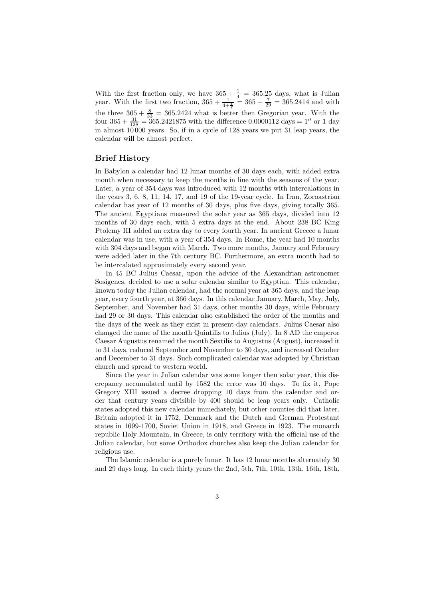With the first fraction only, we have  $365 + \frac{1}{4} = 365.25$  days, what is Julian year. With the first two fraction,  $365 + \frac{1}{4 + \frac{1}{7}} = 365 + \frac{7}{29} = 365.2414$  and with the three  $365 + \frac{8}{33} = 365.2424$  what is better then Gregorian year. With the four  $365 + \frac{31}{128} = 365.2421875$  with the difference 0.0000112 days = 1'' or 1 day in almost  $10000$  years. So, if in a cycle of 128 years we put 31 leap years, the calendar will be almost perfect.

## **Brief History**

In Babylon a calendar had 12 lunar months of 30 days each, with added extra month when necessary to keep the months in line with the seasons of the year. Later, a year of 354 days was introduced with 12 months with intercalations in the years 3, 6, 8, 11, 14, 17, and 19 of the 19-year cycle. In Iran, Zoroastrian calendar has year of 12 months of 30 days, plus five days, giving totally 365. The ancient Egyptians measured the solar year as 365 days, divided into 12 months of 30 days each, with 5 extra days at the end. About 238 BC King Ptolemy III added an extra day to every fourth year. In ancient Greece a lunar calendar was in use, with a year of 354 days. In Rome, the year had 10 months with 304 days and began with March. Two more months, January and February were added later in the 7th century BC. Furthermore, an extra month had to be intercalated approximately every second year.

In 45 BC Julius Caesar, upon the advice of the Alexandrian astronomer Sosigenes, decided to use a solar calendar similar to Egyptian. This calendar, known today the Julian calendar, had the normal year at 365 days, and the leap year, every fourth year, at 366 days. In this calendar January, March, May, July, September, and November had 31 days, other months 30 days, while February had 29 or 30 days. This calendar also established the order of the months and the days of the week as they exist in present-day calendars. Julius Caesar also changed the name of the month Quintilis to Julius (July). In 8 AD the emperor Caesar Augustus renamed the month Sextilis to Augustus (August), increased it to 31 days, reduced September and November to 30 days, and increased October and December to 31 days. Such complicated calendar was adopted by Christian church and spread to western world.

Since the year in Julian calendar was some longer then solar year, this discrepancy accumulated until by 1582 the error was 10 days. To fix it, Pope Gregory XIII issued a decree dropping 10 days from the calendar and order that century years divisible by 400 should be leap years only. Catholic states adopted this new calendar immediately, but other counties did that later. Britain adopted it in 1752, Denmark and the Dutch and German Protestant states in 1699-1700, Soviet Union in 1918, and Greece in 1923. The monarch republic Holy Mountain, in Greece, is only territory with the official use of the Julian calendar, but some Orthodox churches also keep the Julian calendar for religious use.

The Islamic calendar is a purely lunar. It has 12 lunar months alternately 30 and 29 days long. In each thirty years the 2nd, 5th, 7th, 10th, 13th, 16th, 18th,